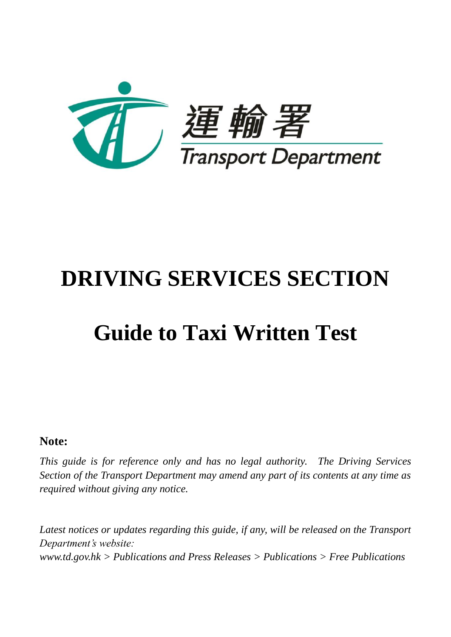

# **DRIVING SERVICES SECTION**

# **Guide to Taxi Written Test**

## **Note:**

*This guide is for reference only and has no legal authority. The Driving Services Section of the Transport Department may amend any part of its contents at any time as required without giving any notice.*

Latest notices or updates regarding this guide, if any, will be released on the Transport *Department's website: www.td.gov.hk > Publications and Press Releases > Publications > Free Publications*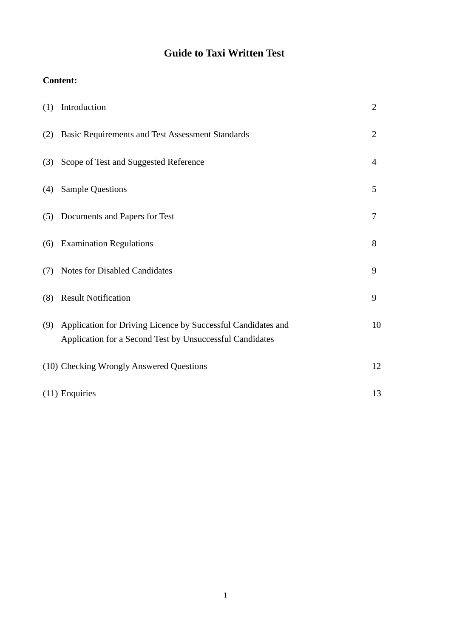## **Guide to Taxi Written Test**

## **Content:**

| (1) | Introduction                                                                                                             | $\overline{2}$ |
|-----|--------------------------------------------------------------------------------------------------------------------------|----------------|
| (2) | <b>Basic Requirements and Test Assessment Standards</b>                                                                  | $\overline{2}$ |
| (3) | Scope of Test and Suggested Reference                                                                                    | $\overline{4}$ |
| (4) | <b>Sample Questions</b>                                                                                                  | 5              |
| (5) | Documents and Papers for Test                                                                                            | 7              |
| (6) | <b>Examination Regulations</b>                                                                                           | 8              |
| (7) | Notes for Disabled Candidates                                                                                            | 9              |
| (8) | <b>Result Notification</b>                                                                                               | 9              |
| (9) | Application for Driving Licence by Successful Candidates and<br>Application for a Second Test by Unsuccessful Candidates | 10             |
|     | (10) Checking Wrongly Answered Questions                                                                                 | 12             |
|     | $(11)$ Enquiries                                                                                                         | 13             |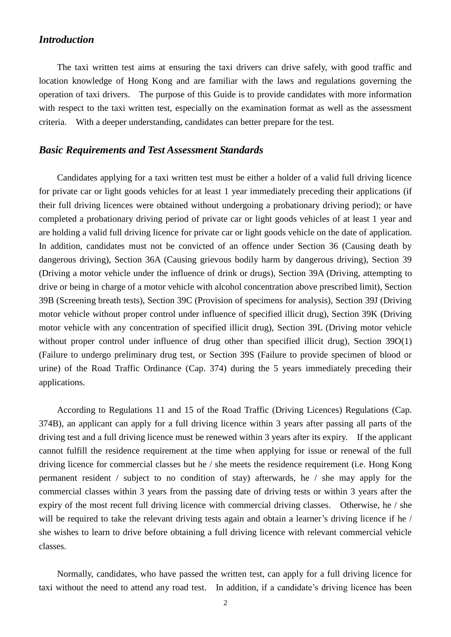## *Introduction*

The taxi written test aims at ensuring the taxi drivers can drive safely, with good traffic and location knowledge of Hong Kong and are familiar with the laws and regulations governing the operation of taxi drivers. The purpose of this Guide is to provide candidates with more information with respect to the taxi written test, especially on the examination format as well as the assessment criteria. With a deeper understanding, candidates can better prepare for the test.

### *Basic Requirements and Test Assessment Standards*

Candidates applying for a taxi written test must be either a holder of a valid full driving licence for private car or light goods vehicles for at least 1 year immediately preceding their applications (if their full driving licences were obtained without undergoing a probationary driving period); or have completed a probationary driving period of private car or light goods vehicles of at least 1 year and are holding a valid full driving licence for private car or light goods vehicle on the date of application. In addition, candidates must not be convicted of an offence under Section 36 (Causing death by dangerous driving), Section 36A (Causing grievous bodily harm by dangerous driving), Section 39 (Driving a motor vehicle under the influence of drink or drugs), Section 39A (Driving, attempting to drive or being in charge of a motor vehicle with alcohol concentration above prescribed limit), Section 39B (Screening breath tests), Section 39C (Provision of specimens for analysis), Section 39J (Driving motor vehicle without proper control under influence of specified illicit drug), Section 39K (Driving motor vehicle with any concentration of specified illicit drug), Section 39L (Driving motor vehicle without proper control under influence of drug other than specified illicit drug), Section 39O(1) (Failure to undergo preliminary drug test, or Section 39S (Failure to provide specimen of blood or urine) of the Road Traffic Ordinance (Cap. 374) during the 5 years immediately preceding their applications.

According to Regulations 11 and 15 of the Road Traffic (Driving Licences) Regulations (Cap. 374B), an applicant can apply for a full driving licence within 3 years after passing all parts of the driving test and a full driving licence must be renewed within 3 years after its expiry. If the applicant cannot fulfill the residence requirement at the time when applying for issue or renewal of the full driving licence for commercial classes but he / she meets the residence requirement (i.e. Hong Kong permanent resident / subject to no condition of stay) afterwards, he / she may apply for the commercial classes within 3 years from the passing date of driving tests or within 3 years after the expiry of the most recent full driving licence with commercial driving classes. Otherwise, he / she will be required to take the relevant driving tests again and obtain a learner's driving licence if he / she wishes to learn to drive before obtaining a full driving licence with relevant commercial vehicle classes.

Normally, candidates, who have passed the written test, can apply for a full driving licence for taxi without the need to attend any road test. In addition, if a candidate's driving licence has been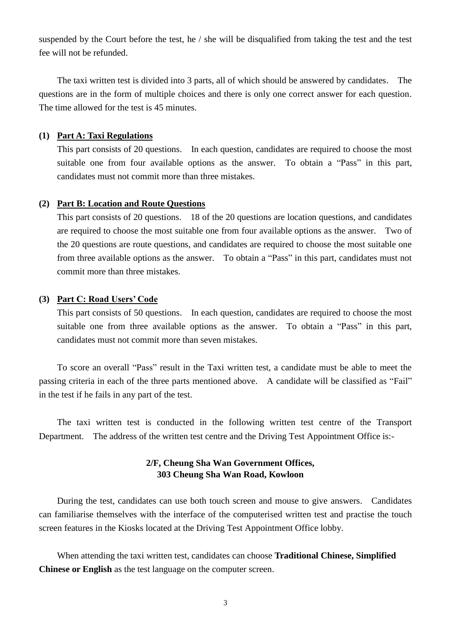suspended by the Court before the test, he / she will be disqualified from taking the test and the test fee will not be refunded.

The taxi written test is divided into 3 parts, all of which should be answered by candidates. The questions are in the form of multiple choices and there is only one correct answer for each question. The time allowed for the test is 45 minutes.

#### **(1) Part A: Taxi Regulations**

This part consists of 20 questions. In each question, candidates are required to choose the most suitable one from four available options as the answer. To obtain a "Pass" in this part, candidates must not commit more than three mistakes.

#### **(2) Part B: Location and Route Questions**

This part consists of 20 questions. 18 of the 20 questions are location questions, and candidates are required to choose the most suitable one from four available options as the answer. Two of the 20 questions are route questions, and candidates are required to choose the most suitable one from three available options as the answer. To obtain a "Pass" in this part, candidates must not commit more than three mistakes.

#### **(3) Part C: Road Users' Code**

This part consists of 50 questions. In each question, candidates are required to choose the most suitable one from three available options as the answer. To obtain a "Pass" in this part, candidates must not commit more than seven mistakes.

To score an overall "Pass" result in the Taxi written test, a candidate must be able to meet the passing criteria in each of the three parts mentioned above. A candidate will be classified as "Fail" in the test if he fails in any part of the test.

The taxi written test is conducted in the following written test centre of the Transport Department. The address of the written test centre and the Driving Test Appointment Office is:-

## **2/F, Cheung Sha Wan Government Offices, 303 Cheung Sha Wan Road, Kowloon**

During the test, candidates can use both touch screen and mouse to give answers. Candidates can familiarise themselves with the interface of the computerised written test and practise the touch screen features in the Kiosks located at the Driving Test Appointment Office lobby.

When attending the taxi written test, candidates can choose **Traditional Chinese, Simplified Chinese or English** as the test language on the computer screen.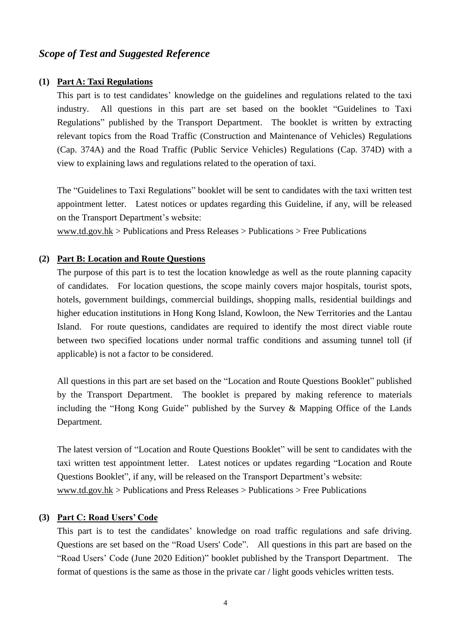## *Scope of Test and Suggested Reference*

#### **(1) Part A: Taxi Regulations**

This part is to test candidates' knowledge on the guidelines and regulations related to the taxi industry. All questions in this part are set based on the booklet "Guidelines to Taxi Regulations" published by the Transport Department. The booklet is written by extracting relevant topics from the Road Traffic (Construction and Maintenance of Vehicles) Regulations (Cap. 374A) and the Road Traffic (Public Service Vehicles) Regulations (Cap. 374D) with a view to explaining laws and regulations related to the operation of taxi.

The "Guidelines to Taxi Regulations" booklet will be sent to candidates with the taxi written test appointment letter. Latest notices or updates regarding this Guideline, if any, will be released on the Transport Department's website:

www.td.gov.hk > Publications and Press Releases > Publications > Free Publications

#### **(2) Part B: Location and Route Questions**

The purpose of this part is to test the location knowledge as well as the route planning capacity of candidates. For location questions, the scope mainly covers major hospitals, tourist spots, hotels, government buildings, commercial buildings, shopping malls, residential buildings and higher education institutions in Hong Kong Island, Kowloon, the New Territories and the Lantau Island. For route questions, candidates are required to identify the most direct viable route between two specified locations under normal traffic conditions and assuming tunnel toll (if applicable) is not a factor to be considered.

All questions in this part are set based on the "Location and Route Questions Booklet" published by the Transport Department. The booklet is prepared by making reference to materials including the "Hong Kong Guide" published by the Survey & Mapping Office of the Lands Department.

The latest version of "Location and Route Questions Booklet" will be sent to candidates with the taxi written test appointment letter. Latest notices or updates regarding "Location and Route Questions Booklet", if any, will be released on the Transport Department's website: www.td.gov.hk > Publications and Press Releases > Publications > Free Publications

## **(3) Part C: Road Users' Code**

This part is to test the candidates' knowledge on road traffic regulations and safe driving. Questions are set based on the "Road Users' Code". All questions in this part are based on the "Road Users' Code (June 2020 Edition)" booklet published by the Transport Department. The format of questions is the same as those in the private car / light goods vehicles written tests.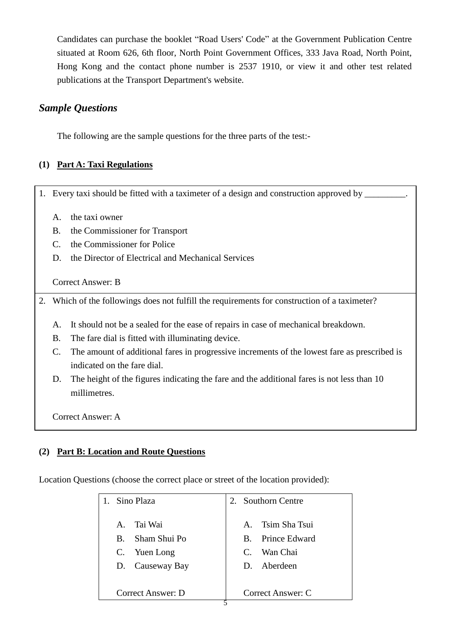Candidates can purchase the booklet "Road Users' Code" at the Government Publication Centre situated at Room 626, 6th floor, North Point Government Offices, 333 Java Road, North Point, Hong Kong and the contact phone number is 2537 1910, or view it and other test related publications at the Transport Department's website.

## *Sample Questions*

The following are the sample questions for the three parts of the test:-

## **(1) Part A: Taxi Regulations**

1. Every taxi should be fitted with a taximeter of a design and construction approved by \_

- A. the taxi owner
- B. the Commissioner for Transport
- C. the Commissioner for Police
- D. the Director of Electrical and Mechanical Services

Correct Answer: B

2. Which of the followings does not fulfill the requirements for construction of a taximeter?

- A. It should not be a sealed for the ease of repairs in case of mechanical breakdown.
- B. The fare dial is fitted with illuminating device.
- C. The amount of additional fares in progressive increments of the lowest fare as prescribed is indicated on the fare dial.
- D. The height of the figures indicating the fare and the additional fares is not less than 10 millimetres.

Correct Answer: A

## **(2) Part B: Location and Route Questions**

Location Questions (choose the correct place or street of the location provided):

| Sino Plaza                                            | 2. Southorn Centre                                                             |
|-------------------------------------------------------|--------------------------------------------------------------------------------|
| Tai Wai<br>$A_{-}$<br>B. Sham Shui Po<br>C. Yuen Long | Tsim Sha Tsui<br>$\mathbf{A}$<br>B. Prince Edward<br>Wan Chai<br>$\mathcal{C}$ |
| D. Causeway Bay<br>Correct Answer: D                  | D. Aberdeen<br>Correct Answer: C                                               |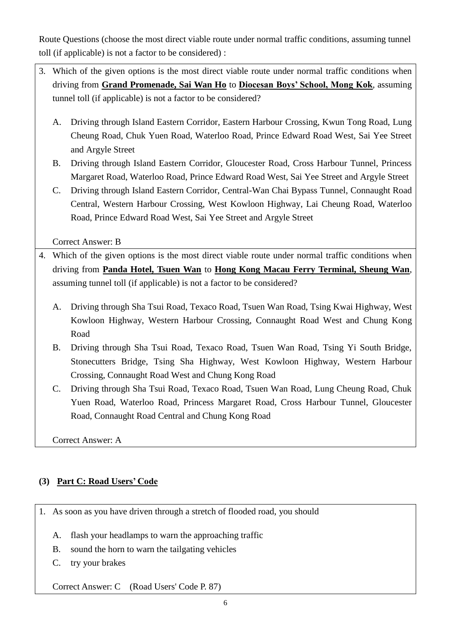Route Questions (choose the most direct viable route under normal traffic conditions, assuming tunnel toll (if applicable) is not a factor to be considered) :

- 3. Which of the given options is the most direct viable route under normal traffic conditions when driving from **Grand Promenade, Sai Wan Ho** to **Diocesan Boys' School, Mong Kok**, assuming tunnel toll (if applicable) is not a factor to be considered?
	- A. Driving through Island Eastern Corridor, Eastern Harbour Crossing, Kwun Tong Road, Lung Cheung Road, Chuk Yuen Road, Waterloo Road, Prince Edward Road West, Sai Yee Street and Argyle Street
	- B. Driving through Island Eastern Corridor, Gloucester Road, Cross Harbour Tunnel, Princess Margaret Road, Waterloo Road, Prince Edward Road West, Sai Yee Street and Argyle Street
	- C. Driving through Island Eastern Corridor, Central-Wan Chai Bypass Tunnel, Connaught Road Central, Western Harbour Crossing, West Kowloon Highway, Lai Cheung Road, Waterloo Road, Prince Edward Road West, Sai Yee Street and Argyle Street

Correct Answer: B

- 4. Which of the given options is the most direct viable route under normal traffic conditions when driving from **Panda Hotel, Tsuen Wan** to **Hong Kong Macau Ferry Terminal, Sheung Wan**, assuming tunnel toll (if applicable) is not a factor to be considered?
	- A. Driving through Sha Tsui Road, Texaco Road, Tsuen Wan Road, Tsing Kwai Highway, West Kowloon Highway, Western Harbour Crossing, Connaught Road West and Chung Kong Road
	- B. Driving through Sha Tsui Road, Texaco Road, Tsuen Wan Road, Tsing Yi South Bridge, Stonecutters Bridge, Tsing Sha Highway, West Kowloon Highway, Western Harbour Crossing, Connaught Road West and Chung Kong Road
	- C. Driving through Sha Tsui Road, Texaco Road, Tsuen Wan Road, Lung Cheung Road, Chuk Yuen Road, Waterloo Road, Princess Margaret Road, Cross Harbour Tunnel, Gloucester Road, Connaught Road Central and Chung Kong Road

Correct Answer: A

## **(3) Part C: Road Users' Code**

1. As soon as you have driven through a stretch of flooded road, you should

- A. flash your headlamps to warn the approaching traffic
- B. sound the horn to warn the tailgating vehicles
- C. try your brakes

Correct Answer: C (Road Users' Code P. 87)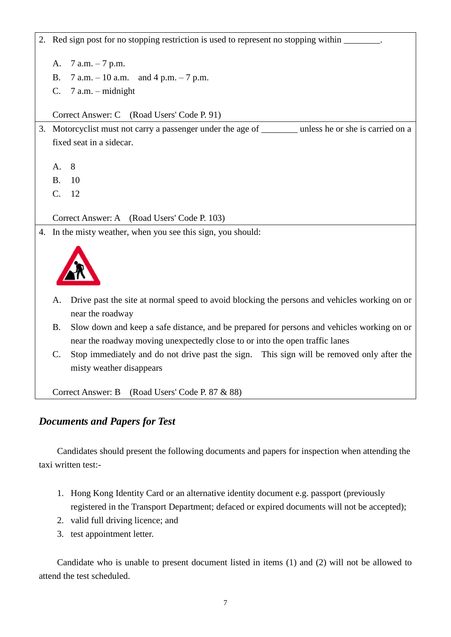2. Red sign post for no stopping restriction is used to represent no stopping within A. 7 a.m. – 7 p.m. B.  $7 a.m. - 10 a.m.$  and  $4 p.m. - 7 p.m.$ C. 7 a.m. – midnight Correct Answer: C (Road Users' Code P. 91) 3. Motorcyclist must not carry a passenger under the age of \_\_\_\_\_\_\_\_ unless he or she is carried on a fixed seat in a sidecar. A. 8 B. 10 C. 12 Correct Answer: A (Road Users' Code P. 103) 4. In the misty weather, when you see this sign, you should:

- A. Drive past the site at normal speed to avoid blocking the persons and vehicles working on or near the roadway
- B. Slow down and keep a safe distance, and be prepared for persons and vehicles working on or near the roadway moving unexpectedly close to or into the open traffic lanes
- C. Stop immediately and do not drive past the sign. This sign will be removed only after the misty weather disappears

Correct Answer: B (Road Users' Code P. 87 & 88)

## *Documents and Papers for Test*

Candidates should present the following documents and papers for inspection when attending the taxi written test:-

- 1. Hong Kong Identity Card or an alternative identity document e.g. passport (previously registered in the Transport Department; defaced or expired documents will not be accepted);
- 2. valid full driving licence; and
- 3. test appointment letter.

Candidate who is unable to present document listed in items (1) and (2) will not be allowed to attend the test scheduled.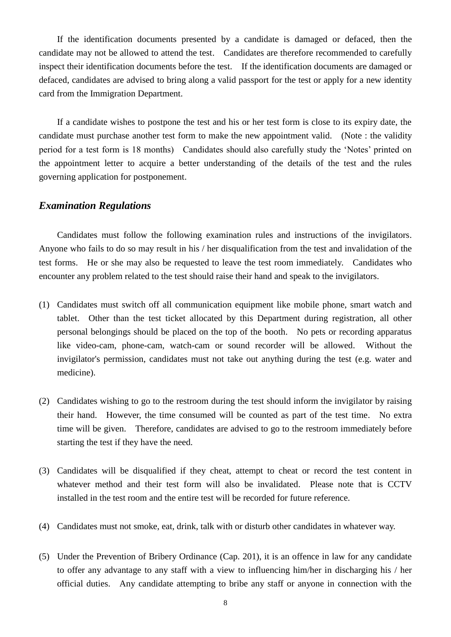If the identification documents presented by a candidate is damaged or defaced, then the candidate may not be allowed to attend the test. Candidates are therefore recommended to carefully inspect their identification documents before the test. If the identification documents are damaged or defaced, candidates are advised to bring along a valid passport for the test or apply for a new identity card from the Immigration Department.

If a candidate wishes to postpone the test and his or her test form is close to its expiry date, the candidate must purchase another test form to make the new appointment valid. (Note : the validity period for a test form is 18 months) Candidates should also carefully study the 'Notes' printed on the appointment letter to acquire a better understanding of the details of the test and the rules governing application for postponement.

### *Examination Regulations*

Candidates must follow the following examination rules and instructions of the invigilators. Anyone who fails to do so may result in his / her disqualification from the test and invalidation of the test forms. He or she may also be requested to leave the test room immediately. Candidates who encounter any problem related to the test should raise their hand and speak to the invigilators.

- (1) Candidates must switch off all communication equipment like mobile phone, smart watch and tablet. Other than the test ticket allocated by this Department during registration, all other personal belongings should be placed on the top of the booth. No pets or recording apparatus like video-cam, phone-cam, watch-cam or sound recorder will be allowed. Without the invigilator's permission, candidates must not take out anything during the test (e.g. water and medicine).
- (2) Candidates wishing to go to the restroom during the test should inform the invigilator by raising their hand. However, the time consumed will be counted as part of the test time. No extra time will be given. Therefore, candidates are advised to go to the restroom immediately before starting the test if they have the need.
- (3) Candidates will be disqualified if they cheat, attempt to cheat or record the test content in whatever method and their test form will also be invalidated. Please note that is CCTV installed in the test room and the entire test will be recorded for future reference.
- (4) Candidates must not smoke, eat, drink, talk with or disturb other candidates in whatever way.
- (5) Under the Prevention of Bribery Ordinance (Cap. 201), it is an offence in law for any candidate to offer any advantage to any staff with a view to influencing him/her in discharging his / her official duties. Any candidate attempting to bribe any staff or anyone in connection with the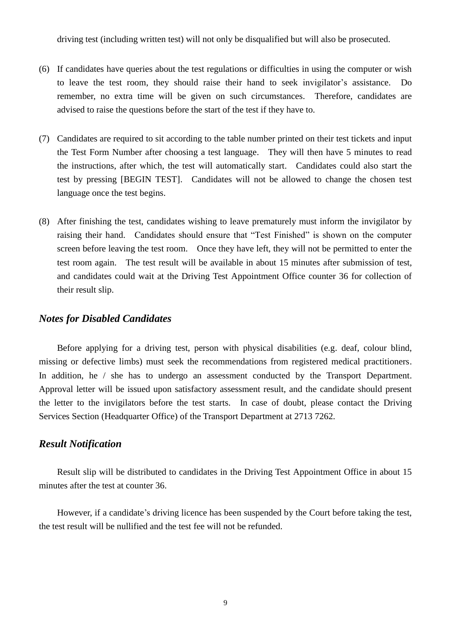driving test (including written test) will not only be disqualified but will also be prosecuted.

- (6) If candidates have queries about the test regulations or difficulties in using the computer or wish to leave the test room, they should raise their hand to seek invigilator's assistance. Do remember, no extra time will be given on such circumstances. Therefore, candidates are advised to raise the questions before the start of the test if they have to.
- (7) Candidates are required to sit according to the table number printed on their test tickets and input the Test Form Number after choosing a test language. They will then have 5 minutes to read the instructions, after which, the test will automatically start. Candidates could also start the test by pressing [BEGIN TEST]. Candidates will not be allowed to change the chosen test language once the test begins.
- (8) After finishing the test, candidates wishing to leave prematurely must inform the invigilator by raising their hand. Candidates should ensure that "Test Finished" is shown on the computer screen before leaving the test room. Once they have left, they will not be permitted to enter the test room again. The test result will be available in about 15 minutes after submission of test, and candidates could wait at the Driving Test Appointment Office counter 36 for collection of their result slip.

## *Notes for Disabled Candidates*

Before applying for a driving test, person with physical disabilities (e.g. deaf, colour blind, missing or defective limbs) must seek the recommendations from registered medical practitioners. In addition, he / she has to undergo an assessment conducted by the Transport Department. Approval letter will be issued upon satisfactory assessment result, and the candidate should present the letter to the invigilators before the test starts. In case of doubt, please contact the Driving Services Section (Headquarter Office) of the Transport Department at 2713 7262.

## *Result Notification*

Result slip will be distributed to candidates in the Driving Test Appointment Office in about 15 minutes after the test at counter 36.

However, if a candidate's driving licence has been suspended by the Court before taking the test, the test result will be nullified and the test fee will not be refunded.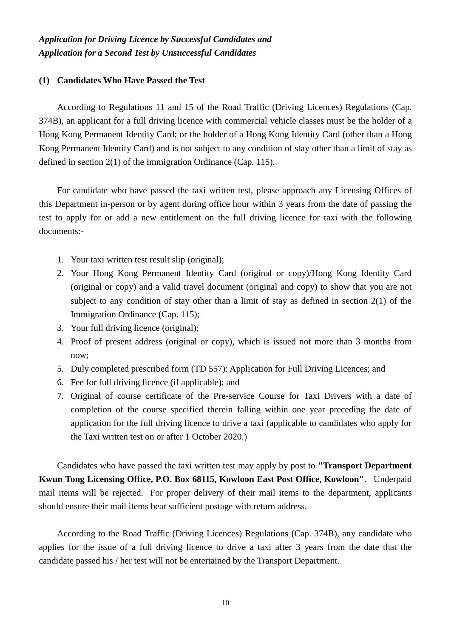## *Application for Driving Licence by Successful Candidates and Application for a Second Test by Unsuccessful Candidates*

### **(1) Candidates Who Have Passed the Test**

According to Regulations 11 and 15 of the Road Traffic (Driving Licences) Regulations (Cap. 374B), an applicant for a full driving licence with commercial vehicle classes must be the holder of a Hong Kong Permanent Identity Card; or the holder of a Hong Kong Identity Card (other than a Hong Kong Permanent Identity Card) and is not subject to any condition of stay other than a limit of stay as defined in section 2(1) of the Immigration Ordinance (Cap. 115).

For candidate who have passed the taxi written test, please approach any Licensing Offices of this Department in-person or by agent during office hour within 3 years from the date of passing the test to apply for or add a new entitlement on the full driving licence for taxi with the following documents:-

- 1. Your taxi written test result slip (original);
- 2. Your Hong Kong Permanent Identity Card (original or copy)/Hong Kong Identity Card (original or copy) and a valid travel document (original and copy) to show that you are not subject to any condition of stay other than a limit of stay as defined in section 2(1) of the Immigration Ordinance (Cap. 115);
- 3. Your full driving licence (original);
- 4. Proof of present address (original or copy), which is issued not more than 3 months from now;
- 5. Duly completed prescribed form (TD 557): Application for Full Driving Licences; and
- 6. Fee for full driving licence (if applicable); and
- 7. Original of course certificate of the Pre-service Course for Taxi Drivers with a date of completion of the course specified therein falling within one year preceding the date of application for the full driving licence to drive a taxi (applicable to candidates who apply for the Taxi written test on or after 1 October 2020.)

Candidates who have passed the taxi written test may apply by post to **"Transport Department Kwun Tong Licensing Office, P.O. Box 68115, Kowloon East Post Office, Kowloon"**. Underpaid mail items will be rejected. For proper delivery of their mail items to the department, applicants should ensure their mail items bear sufficient postage with return address.

According to the Road Traffic (Driving Licences) Regulations (Cap. 374B), any candidate who applies for the issue of a full driving licence to drive a taxi after 3 years from the date that the candidate passed his / her test will not be entertained by the Transport Department.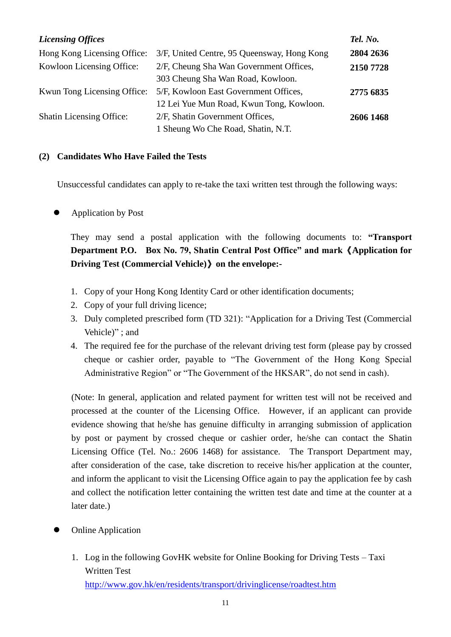| <b>Licensing Offices</b>        |                                                                                   | Tel. No.  |
|---------------------------------|-----------------------------------------------------------------------------------|-----------|
| Hong Kong Licensing Office:     | 3/F, United Centre, 95 Queensway, Hong Kong                                       | 2804 2636 |
| Kowloon Licensing Office:       | 2/F, Cheung Sha Wan Government Offices,<br>303 Cheung Sha Wan Road, Kowloon.      | 2150 7728 |
| Kwun Tong Licensing Office:     | 5/F, Kowloon East Government Offices,<br>12 Lei Yue Mun Road, Kwun Tong, Kowloon. | 2775 6835 |
| <b>Shatin Licensing Office:</b> | 2/F, Shatin Government Offices,<br>1 Sheung Wo Che Road, Shatin, N.T.             | 2606 1468 |

## **(2) Candidates Who Have Failed the Tests**

Unsuccessful candidates can apply to re-take the taxi written test through the following ways:

Application by Post

They may send a postal application with the following documents to: **"Transport Department P.O. Box No. 79, Shatin Central Post Office" and mark**《**Application for Driving Test (Commercial Vehicle)**》**on the envelope:-**

- 1. Copy of your Hong Kong Identity Card or other identification documents;
- 2. Copy of your full driving licence;
- 3. Duly completed prescribed form (TD 321): "Application for a Driving Test (Commercial Vehicle)" ; and
- 4. The required fee for the purchase of the relevant driving test form (please pay by crossed cheque or cashier order, payable to "The Government of the Hong Kong Special Administrative Region" or "The Government of the HKSAR", do not send in cash).

(Note: In general, application and related payment for written test will not be received and processed at the counter of the Licensing Office. However, if an applicant can provide evidence showing that he/she has genuine difficulty in arranging submission of application by post or payment by crossed cheque or cashier order, he/she can contact the Shatin Licensing Office (Tel. No.: 2606 1468) for assistance. The Transport Department may, after consideration of the case, take discretion to receive his/her application at the counter, and inform the applicant to visit the Licensing Office again to pay the application fee by cash and collect the notification letter containing the written test date and time at the counter at a later date.)

- Online Application
	- 1. Log in the following GovHK website for Online Booking for Driving Tests Taxi Written Test <http://www.gov.hk/en/residents/transport/drivinglicense/roadtest.htm>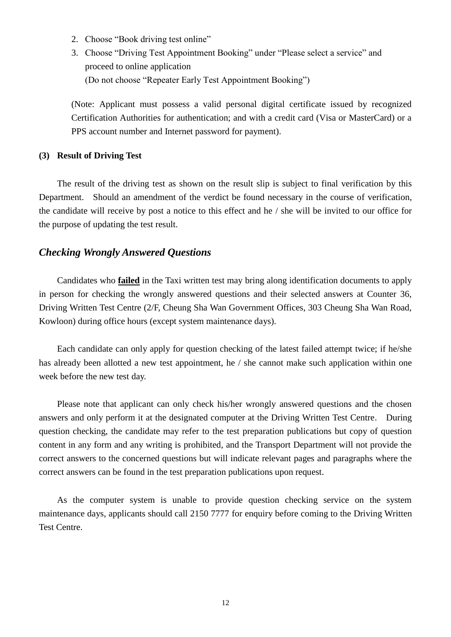- 2. Choose "Book driving test online"
- 3. Choose "Driving Test Appointment Booking" under "Please select a service" and proceed to online application (Do not choose "Repeater Early Test Appointment Booking")

(Note: Applicant must possess a valid personal digital certificate issued by recognized Certification Authorities for authentication; and with a credit card (Visa or MasterCard) or a PPS account number and Internet password for payment).

#### **(3) Result of Driving Test**

The result of the driving test as shown on the result slip is subject to final verification by this Department. Should an amendment of the verdict be found necessary in the course of verification, the candidate will receive by post a notice to this effect and he / she will be invited to our office for the purpose of updating the test result.

## *Checking Wrongly Answered Questions*

Candidates who **failed** in the Taxi written test may bring along identification documents to apply in person for checking the wrongly answered questions and their selected answers at Counter 36, Driving Written Test Centre (2/F, Cheung Sha Wan Government Offices, 303 Cheung Sha Wan Road, Kowloon) during office hours (except system maintenance days).

Each candidate can only apply for question checking of the latest failed attempt twice; if he/she has already been allotted a new test appointment, he / she cannot make such application within one week before the new test day.

Please note that applicant can only check his/her wrongly answered questions and the chosen answers and only perform it at the designated computer at the Driving Written Test Centre. During question checking, the candidate may refer to the test preparation publications but copy of question content in any form and any writing is prohibited, and the Transport Department will not provide the correct answers to the concerned questions but will indicate relevant pages and paragraphs where the correct answers can be found in the test preparation publications upon request.

As the computer system is unable to provide question checking service on the system maintenance days, applicants should call 2150 7777 for enquiry before coming to the Driving Written Test Centre.